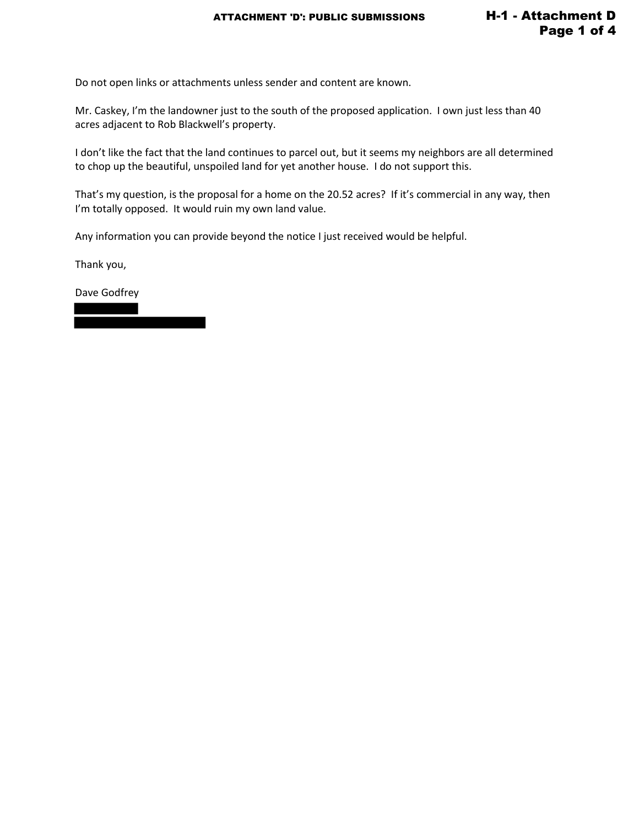Do not open links or attachments unless sender and content are known.

Mr. Caskey, I'm the landowner just to the south of the proposed application. I own just less than 40 acres adjacent to Rob Blackwell's property.

I don't like the fact that the land continues to parcel out, but it seems my neighbors are all determined to chop up the beautiful, unspoiled land for yet another house. I do not support this.

That's my question, is the proposal for a home on the 20.52 acres? If it's commercial in any way, then I'm totally opposed. It would ruin my own land value.

Any information you can provide beyond the notice I just received would be helpful.

Thank you,

Dave Godfrey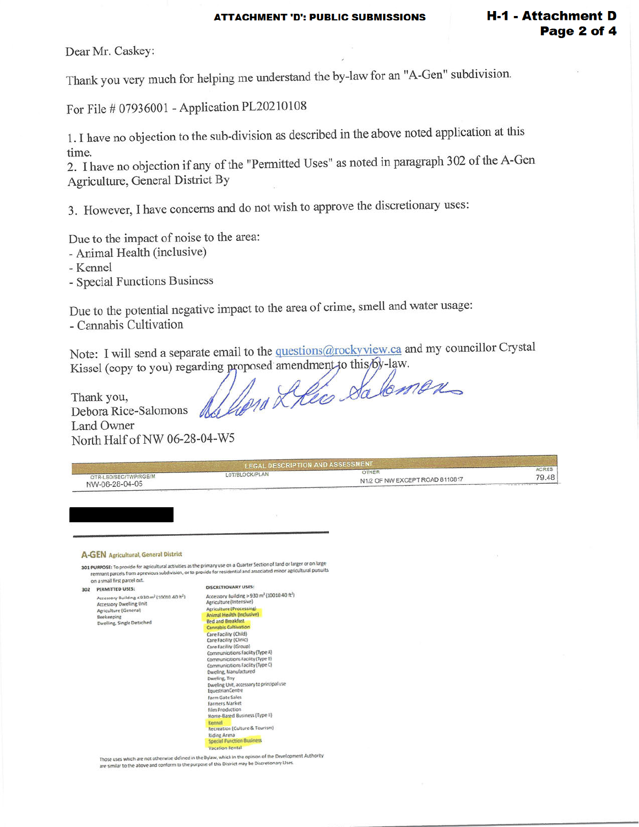**H-1 - Attachment D** 

Page 2 of 4

Dear Mr. Caskey:

For File # 07936001 - Application PL20210108

1. I have no objection to the sub-division as described in the above noted application at this time.

2. I have no objection if any of the "Permitted Uses" as noted in paragraph 302 of the A-Gen Agriculture, General District By

3. However, I have concerns and do not wish to approve the discretionary uses:

Due to the impact of noise to the area:

- Animal Health (inclusive)
- Kennel
- Special Functions Business

Due to the potential negative impact to the area of crime, smell and water usage: - Cannabis Cultivation

Note: I will send a separate email to the questions@rockyview.ca and my councillor Crystal Kissel (copy to you) regarding proposed amendment to this by-law.

delien Leico Salomen Thank you, Debora Rice-Salomons

Land Owner North Half of NW 06-28-04-W5

|                                         | <b>I FGAL DESCRIPTION AND ASSESSMENT</b> |                                         |                       |
|-----------------------------------------|------------------------------------------|-----------------------------------------|-----------------------|
| QTR-LSD/SEC/TWP/RGE/M<br>NW-06-28-04-05 | LOT/BLOCK/PLAN                           | OTHER<br>N1/2 OF NW EXCEPT ROAD 8110817 | <b>ACRES</b><br>79.48 |
|                                         |                                          |                                         |                       |

# A-GEN Agricultural, General District

301 PURPOSE: To provide for agricultural activities as the primary use on a Quarter Section of land or larger or on large remnant parcels from a previous subdivision, or to provide for residential and associated minor agricultural pursuits on a small first parcel out.

302 PERMITTED USES: Accessory Building  $\leq$  930 m<sup>2</sup> (10010.40 h<sup>2</sup>) **Accessory Dwelling Unit** Agriculture (General) Beekeeping velling, Single Detached

DISCRETIONARY USES: Accessory Building > 930 m<sup>2</sup> (10010.40 ft<sup>2</sup>)<br>Agriculture (Intensive) Agriculture (Processing)<br>Animal Health (Inclusive)<br>Red and Breakfast Cannabis Cultivation Care Facility (Child)<br>Care Facility (Chric)<br>Care Facility (Group) Communications Facility (Type A)<br>Communications Facility (Type B)<br>Communications Facility (Type C)<br>Dweling, Manufactured Dweling, Triv.<br>Dweling, Triv.<br>Equestrian Centre Farm Gate Sales<br>Farmers Market Film Production<br>Home-Based Business (Type II) Recreation (Culture & Tourism) Riding Arena na<br>netina Rusiness Vacation Rental

Those uses which are not otherwise defined in the Bylaw, which in the opinion of the Development Authority<br>are similar to the above and conform to the purpose of this District may be Discretionary Uses.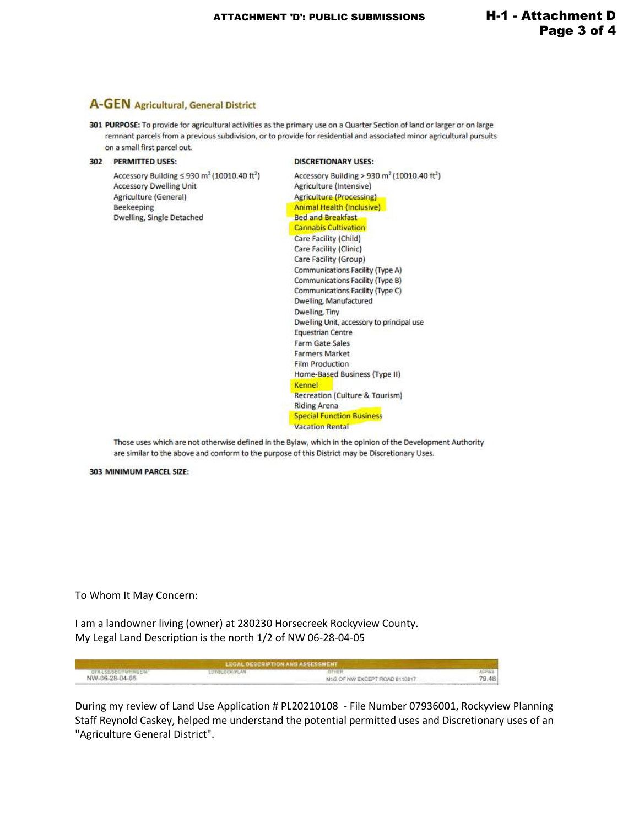# **A-GEN** Agricultural, General District

301 PURPOSE: To provide for agricultural activities as the primary use on a Quarter Section of land or larger or on large remnant parcels from a previous subdivision, or to provide for residential and associated minor agricultural pursuits on a small first parcel out.

### 302 PERMITTED USES:

Accessory Building  $\leq$  930 m<sup>2</sup> (10010.40 ft<sup>2</sup>) **Accessory Dwelling Unit** Agriculture (General) Beekeeping **Dwelling, Single Detached** 

#### **DISCRETIONARY USES:**

Accessory Building > 930 m<sup>2</sup> (10010.40 ft<sup>2</sup>) Agriculture (Intensive) **Agriculture (Processing)** Animal Health (Inclusive) **Bed and Breakfast Cannabis Cultivation** Care Facility (Child) Care Facility (Clinic) Care Facility (Group) Communications Facility (Type A) Communications Facility (Type B) Communications Facility (Type C) Dwelling, Manufactured Dwelling, Tiny Dwelling Unit, accessory to principal use Equestrian Centre Farm Gate Sales **Farmers Market Film Production** Home-Based Business (Type II) Kennel Recreation (Culture & Tourism) **Riding Arena Special Function Business Vacation Rental** 

Those uses which are not otherwise defined in the Bylaw, which in the opinion of the Development Authority are similar to the above and conform to the purpose of this District may be Discretionary Uses.

# 303 MINIMUM PARCEL SIZE:

To Whom It May Concern:

I am a landowner living (owner) at 280230 Horsecreek Rockyview County. My Legal Land Description is the north 1/2 of NW 06-28-04-05

| LEGAL DESCRIPTION AND ASSESSMENT |                |                                 |       |  |
|----------------------------------|----------------|---------------------------------|-------|--|
| 1078. LEILSECTWARGES!            | LUTIBUDGK/PLAN |                                 |       |  |
| NW-06-28-04-05                   |                | N1/2 OF NW EXCEPT ROAD B110B17. | 79.48 |  |

During my review of Land Use Application # PL20210108 - File Number 07936001, Rockyview Planning Staff Reynold Caskey, helped me understand the potential permitted uses and Discretionary uses of an "Agriculture General District".